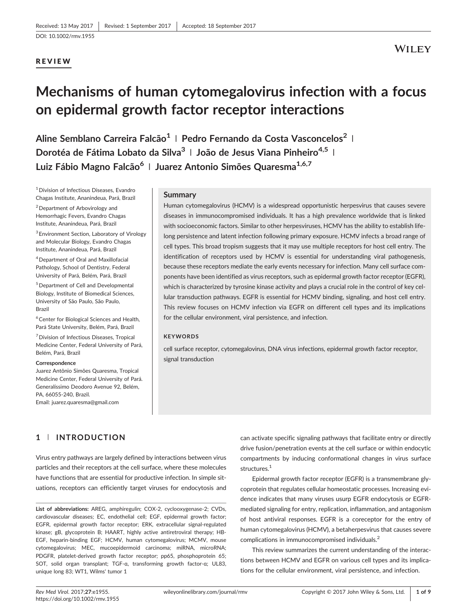# REVIEW

# Mechanisms of human cytomegalovirus infection with a focus on epidermal growth factor receptor interactions

Aline Semblano Carreira Falcão<sup>1</sup> | Pedro Fernando da Costa Vasconcelos<sup>2</sup> | Dorotéa de Fátima Lobato da Silva<sup>3</sup> | João de Jesus Viana Pinheiro<sup>4,5</sup> | Luiz Fábio Magno Falcão<sup>6</sup> | Juarez Antonio Simões Quaresma<sup>1,6,7</sup>

1Division of Infectious Diseases, Evandro Chagas Institute, Ananindeua, Pará, Brazil 2Department of Arbovirology and Hemorrhagic Fevers, Evandro Chagas

Institute, Ananindeua, Pará, Brazil

<sup>3</sup> Environment Section, Laboratory of Virology and Molecular Biology, Evandro Chagas Institute, Ananindeua, Pará, Brazil

4Department of Oral and Maxillofacial Pathology, School of Dentistry, Federal University of Pará, Belém, Pará, Brazil

5Department of Cell and Developmental Biology, Institute of Biomedical Sciences, University of São Paulo, São Paulo, Brazil

6Center for Biological Sciences and Health, Pará State University, Belém, Pará, Brazil

7Division of Infectious Diseases, Tropical Medicine Center, Federal University of Pará, Belém, Pará, Brazil

#### Correspondence

Juarez Antônio Simões Quaresma, Tropical Medicine Center, Federal University of Pará. Generalíssimo Deodoro Avenue 92, Belém, PA, 66055‐240, Brazil. Email: [juarez.quaresma@gmail.com](mailto:juarez.quaresma@gmail.com)

#### Summary

Human cytomegalovirus (HCMV) is a widespread opportunistic herpesvirus that causes severe diseases in immunocompromised individuals. It has a high prevalence worldwide that is linked with socioeconomic factors. Similar to other herpesviruses, HCMV has the ability to establish lifelong persistence and latent infection following primary exposure. HCMV infects a broad range of cell types. This broad tropism suggests that it may use multiple receptors for host cell entry. The identification of receptors used by HCMV is essential for understanding viral pathogenesis, because these receptors mediate the early events necessary for infection. Many cell surface components have been identified as virus receptors, such as epidermal growth factor receptor (EGFR), which is characterized by tyrosine kinase activity and plays a crucial role in the control of key cellular transduction pathways. EGFR is essential for HCMV binding, signaling, and host cell entry. This review focuses on HCMV infection via EGFR on different cell types and its implications for the cellular environment, viral persistence, and infection.

#### **KEYWORDS**

cell surface receptor, cytomegalovirus, DNA virus infections, epidermal growth factor receptor, signal transduction

# 1 | INTRODUCTION

Virus entry pathways are largely defined by interactions between virus particles and their receptors at the cell surface, where these molecules have functions that are essential for productive infection. In simple situations, receptors can efficiently target viruses for endocytosis and

List of abbreviations: AREG, amphiregulin; COX-2, cyclooxygenase-2; CVDs, cardiovascular diseases; EC, endothelial cell; EGF, epidermal growth factor; EGFR, epidermal growth factor receptor; ERK, extracellular signal-regulated kinase; gB, glycoprotein B; HAART, highly active antiretroviral therapy; HB‐ EGF, heparin‐binding EGF; HCMV, human cytomegalovirus; MCMV, mouse cytomegalovirus; MEC, mucoepidermoid carcinoma; miRNA, microRNA; PDGFR, platelet-derived growth factor receptor; pp65, phosphoprotein 65; SOT, solid organ transplant; TGF‐α, transforming growth factor‐α; UL83, unique long 83; WT1, Wilms' tumor 1

can activate specific signaling pathways that facilitate entry or directly drive fusion/penetration events at the cell surface or within endocytic compartments by inducing conformational changes in virus surface structures.<sup>1</sup>

Epidermal growth factor receptor (EGFR) is a transmembrane glycoprotein that regulates cellular homeostatic processes. Increasing evidence indicates that many viruses usurp EGFR endocytosis or EGFR‐ mediated signaling for entry, replication, inflammation, and antagonism of host antiviral responses. EGFR is a coreceptor for the entry of human cytomegalovirus (HCMV), a betaherpesvirus that causes severe complications in immunocompromised individuals.<sup>2</sup>

This review summarizes the current understanding of the interactions between HCMV and EGFR on various cell types and its implications for the cellular environment, viral persistence, and infection.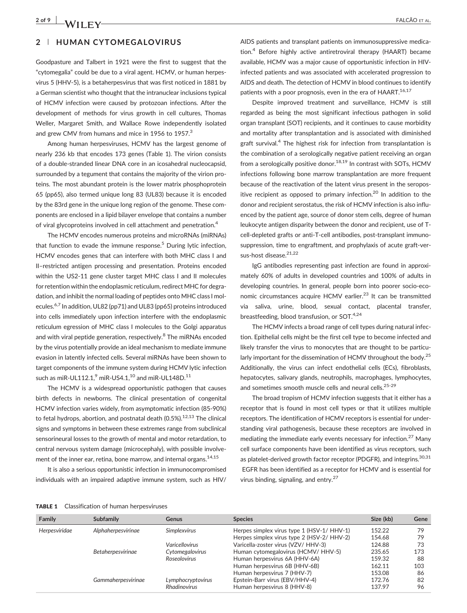## 2 | HUMAN CYTOMEGALOVIRUS

Goodpasture and Talbert in 1921 were the first to suggest that the "cytomegalia" could be due to a viral agent. HCMV, or human herpesvirus 5 (HHV‐5), is a betaherpesvirus that was first noticed in 1881 by a German scientist who thought that the intranuclear inclusions typical of HCMV infection were caused by protozoan infections. After the development of methods for virus growth in cell cultures, Thomas Weller, Margaret Smith, and Wallace Rowe independently isolated and grew CMV from humans and mice in 1956 to 1957.<sup>3</sup>

Among human herpesviruses, HCMV has the largest genome of nearly 236 kb that encodes 173 genes (Table 1). The virion consists of a double‐stranded linear DNA core in an icosahedral nucleocapsid, surrounded by a tegument that contains the majority of the virion proteins. The most abundant protein is the lower matrix phosphoprotein 65 (pp65), also termed unique long 83 (UL83) because it is encoded by the 83rd gene in the unique long region of the genome. These components are enclosed in a lipid bilayer envelope that contains a number of viral glycoproteins involved in cell attachment and penetration.<sup>4</sup>

The HCMV encodes numerous proteins and microRNAs (miRNAs) that function to evade the immune response.<sup>5</sup> During lytic infection, HCMV encodes genes that can interfere with both MHC class I and II–restricted antigen processing and presentation. Proteins encoded within the US2-11 gene cluster target MHC class I and II molecules for retention within the endoplasmic reticulum, redirect MHC for degradation, and inhibit the normal loading of peptides onto MHC class I molecules.<sup>6,7</sup> In addition, UL82 (pp71) and UL83 (pp65) proteins introduced into cells immediately upon infection interfere with the endoplasmic reticulum egression of MHC class I molecules to the Golgi apparatus and with viral peptide generation, respectively.<sup>8</sup> The miRNAs encoded by the virus potentially provide an ideal mechanism to mediate immune evasion in latently infected cells. Several miRNAs have been shown to target components of the immune system during HCMV lytic infection such as miR-UL112.1, $^9$  miR-US4.1, $^{10}$  and miR-UL148D.<sup>11</sup>

The HCMV is a widespread opportunistic pathogen that causes birth defects in newborns. The clinical presentation of congenital HCMV infection varies widely, from asymptomatic infection (85‐90%) to fetal hydrops, abortion, and postnatal death  $(0.5\%)$ .<sup>12,13</sup> The clinical signs and symptoms in between these extremes range from subclinical sensorineural losses to the growth of mental and motor retardation, to central nervous system damage (microcephaly), with possible involvement of the inner ear, retina, bone marrow, and internal organs.<sup>14,15</sup>

It is also a serious opportunistic infection in immunocompromised individuals with an impaired adaptive immune system, such as HIV/

AIDS patients and transplant patients on immunosuppressive medication.4 Before highly active antiretroviral therapy (HAART) became available, HCMV was a major cause of opportunistic infection in HIV‐ infected patients and was associated with accelerated progression to AIDS and death. The detection of HCMV in blood continues to identify patients with a poor prognosis, even in the era of  $HAART$ .<sup>16,17</sup>

Despite improved treatment and surveillance, HCMV is still regarded as being the most significant infectious pathogen in solid organ transplant (SOT) recipients, and it continues to cause morbidity and mortality after transplantation and is associated with diminished graft survival.<sup>4</sup> The highest risk for infection from transplantation is the combination of a serologically negative patient receiving an organ from a serologically positive donor. $18,19$  In contrast with SOTs, HCMV infections following bone marrow transplantation are more frequent because of the reactivation of the latent virus present in the seropositive recipient as opposed to primary infection.<sup>20</sup> In addition to the donor and recipient serostatus, the risk of HCMV infection is also influenced by the patient age, source of donor stem cells, degree of human leukocyte antigen disparity between the donor and recipient, use of T‐ cell‐depleted grafts or anti‐T‐cell antibodies, post‐transplant immunosuppression, time to engraftment, and prophylaxis of acute graft‐versus-host disease.<sup>21,22</sup>

IgG antibodies representing past infection are found in approximately 60% of adults in developed countries and 100% of adults in developing countries. In general, people born into poorer socio‐economic circumstances acquire HCMV earlier.<sup>23</sup> It can be transmitted via saliva, urine, blood, sexual contact, placental transfer, breastfeeding, blood transfusion, or  $SOT.<sup>4,24</sup>$ 

The HCMV infects a broad range of cell types during natural infection. Epithelial cells might be the first cell type to become infected and likely transfer the virus to monocytes that are thought to be particularly important for the dissemination of HCMV throughout the body.<sup>25</sup> Additionally, the virus can infect endothelial cells (ECs), fibroblasts, hepatocytes, salivary glands, neutrophils, macrophages, lymphocytes, and sometimes smooth muscle cells and neural cells.<sup>25-29</sup>

The broad tropism of HCMV infection suggests that it either has a receptor that is found in most cell types or that it utilizes multiple receptors. The identification of HCMV receptors is essential for understanding viral pathogenesis, because these receptors are involved in mediating the immediate early events necessary for infection.<sup>27</sup> Many cell surface components have been identified as virus receptors, such as platelet-derived growth factor receptor (PDGFR), and integrins.<sup>30,31</sup> EGFR has been identified as a receptor for HCMV and is essential for virus binding, signaling, and entry.27

| Family        | <b>Subfamily</b>         | <b>Genus</b>          | <b>Species</b>                             | Size (kb) | Gene |
|---------------|--------------------------|-----------------------|--------------------------------------------|-----------|------|
| Herpesviridae | Alphaherpesvirinae       | <b>Simplexvirus</b>   | Herpes simplex virus type 1 (HSV-1/ HHV-1) | 152.22    | 79   |
|               |                          |                       | Herpes simplex virus type 2 (HSV-2/ HHV-2) | 154.68    | 79   |
|               |                          | <b>Varicellovirus</b> | Varicella-zoster virus (VZV/ HHV-3)        | 124.88    | 73   |
|               | <b>Betaherpesvirinae</b> | Cytomegalovirus       | Human cytomegalovirus (HCMV/HHV-5)         | 235.65    | 173  |
|               |                          | <b>Roseolovirus</b>   | Human herpesvirus 6A (HHV-6A)              | 159.32    | 88   |
|               |                          |                       | Human herpesvirus 6B (HHV-6B)              | 162.11    | 103  |
|               |                          |                       | Human herpesvirus 7 (HHV-7)                | 153.08    | 86   |
|               | Gammaherpesvirinae       | Lymphocryptovirus     | Epstein-Barr virus (EBV/HHV-4)             | 172.76    | 82   |
|               |                          | Rhadinovirus          | Human herpesvirus 8 (HHV-8)                | 137.97    | 96   |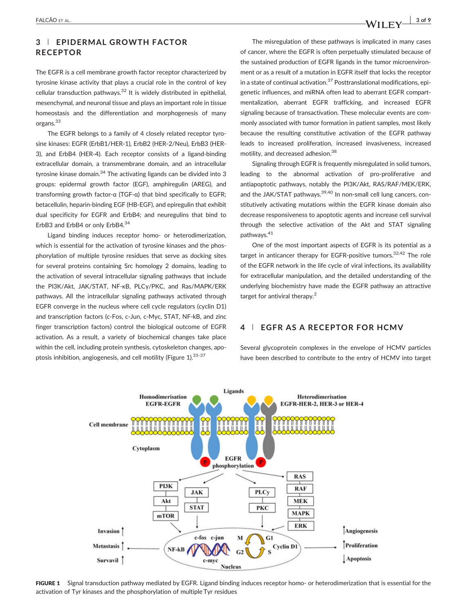# 3 | EPIDERMAL GROWTH FACTOR RECEPTOR

The EGFR is a cell membrane growth factor receptor characterized by tyrosine kinase activity that plays a crucial role in the control of key cellular transduction pathways. $32$  It is widely distributed in epithelial, mesenchymal, and neuronal tissue and plays an important role in tissue homeostasis and the differentiation and morphogenesis of many organs.33

The EGFR belongs to a family of 4 closely related receptor tyrosine kinases: EGFR (ErbB1/HER‐1), ErbB2 (HER‐2/Neu), ErbB3 (HER‐ 3), and ErbB4 (HER‐4). Each receptor consists of a ligand‐binding extracellular domain, a transmembrane domain, and an intracellular tyrosine kinase domain.<sup>34</sup> The activating ligands can be divided into 3 groups: epidermal growth factor (EGF), amphiregulin (AREG), and transforming growth factor‐α (TGF‐α) that bind specifically to EGFR; betacellulin, heparin‐binding EGF (HB‐EGF), and epiregulin that exhibit dual specificity for EGFR and ErbB4; and neuregulins that bind to ErbB3 and ErbB4 or only ErbB4.34

Ligand binding induces receptor homo‐ or heterodimerization, which is essential for the activation of tyrosine kinases and the phosphorylation of multiple tyrosine residues that serve as docking sites for several proteins containing Src homology 2 domains, leading to the activation of several intracellular signaling pathways that include the PI3K/Akt, JAK/STAT, NF‐κB, PLCγ/PKC, and Ras/MAPK/ERK pathways. All the intracellular signaling pathways activated through EGFR converge in the nucleus where cell cycle regulators (cyclin D1) and transcription factors (c‐Fos, c‐Jun, c‐Myc, STAT, NF‐kB, and zinc finger transcription factors) control the biological outcome of EGFR activation. As a result, a variety of biochemical changes take place within the cell, including protein synthesis, cytoskeleton changes, apoptosis inhibition, angiogenesis, and cell motility (Figure 1).<sup>35-37</sup>

The misregulation of these pathways is implicated in many cases of cancer, where the EGFR is often perpetually stimulated because of the sustained production of EGFR ligands in the tumor microenvironment or as a result of a mutation in EGFR itself that locks the receptor in a state of continual activation. $37$  Posttranslational modifications, epigenetic influences, and miRNA often lead to aberrant EGFR compartmentalization, aberrant EGFR trafficking, and increased EGFR signaling because of transactivation. These molecular events are commonly associated with tumor formation in patient samples, most likely because the resulting constitutive activation of the EGFR pathway leads to increased proliferation, increased invasiveness, increased motility, and decreased adhesion.<sup>38</sup>

Signaling through EGFR is frequently misregulated in solid tumors, leading to the abnormal activation of pro‐proliferative and antiapoptotic pathways, notably the PI3K/Akt, RAS/RAF/MEK/ERK, and the JAK/STAT pathways.<sup>39,40</sup> In non-small cell lung cancers, constitutively activating mutations within the EGFR kinase domain also decrease responsiveness to apoptotic agents and increase cell survival through the selective activation of the Akt and STAT signaling pathways.<sup>41</sup>

One of the most important aspects of EGFR is its potential as a target in anticancer therapy for EGFR-positive tumors.<sup>32,42</sup> The role of the EGFR network in the life cycle of viral infections, its availability for extracellular manipulation, and the detailed understanding of the underlying biochemistry have made the EGFR pathway an attractive target for antiviral therapy.<sup>2</sup>

## 4 | EGFR AS A RECEPTOR FOR HCMV

Several glycoprotein complexes in the envelope of HCMV particles have been described to contribute to the entry of HCMV into target



FIGURE 1 Signal transduction pathway mediated by EGFR. Ligand binding induces receptor homo- or heterodimerization that is essential for the activation of Tyr kinases and the phosphorylation of multiple Tyr residues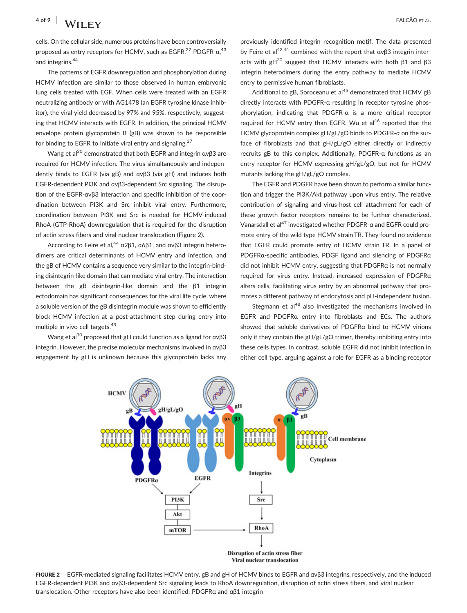cells. On the cellular side, numerous proteins have been controversially proposed as entry receptors for HCMV, such as EGFR,<sup>27</sup> PDGFR-α,<sup>43</sup> and integrins.<sup>44</sup>

The patterns of EGFR downregulation and phosphorylation during HCMV infection are similar to those observed in human embryonic lung cells treated with EGF. When cells were treated with an EGFR neutralizing antibody or with AG1478 (an EGFR tyrosine kinase inhibitor), the viral yield decreased by 97% and 95%, respectively, suggesting that HCMV interacts with EGFR. In addition, the principal HCMV envelope protein glycoprotein B (gB) was shown to be responsible for binding to EGFR to initiate viral entry and signaling.<sup>27</sup>

Wang et al<sup>30</sup> demonstrated that both EGFR and integrin  $\alpha v\beta$ 3 are required for HCMV infection. The virus simultaneously and independently binds to EGFR (via gB) and αvβ3 (via gH) and induces both EGFR‐dependent PI3K and αvβ3‐dependent Src signaling. The disruption of the EGFR‐αvβ3 interaction and specific inhibition of the coordination between PI3K and Src inhibit viral entry. Furthermore, coordination between PI3K and Src is needed for HCMV‐induced RhoA (GTP‐RhoA) downregulation that is required for the disruption of actin stress fibers and viral nuclear translocation (Figure 2).

According to Feire et al,<sup>44</sup> α2β1, α6β1, and ανβ3 integrin heterodimers are critical determinants of HCMV entry and infection, and the gB of HCMV contains a sequence very similar to the integrin‐binding disintegrin‐like domain that can mediate viral entry. The interaction between the gB disintegrin‐like domain and the β1 integrin ectodomain has significant consequences for the viral life cycle, where a soluble version of the gB disintegrin module was shown to efficiently block HCMV infection at a post‐attachment step during entry into multiple in vivo cell targets.43

Wang et al<sup>30</sup> proposed that gH could function as a ligand for  $\alpha \nu \beta 3$ integrin. However, the precise molecular mechanisms involved in αvβ3 engagement by gH is unknown because this glycoprotein lacks any

previously identified integrin recognition motif. The data presented by Feire et al<sup>43,44</sup> combined with the report that  $\alpha$  v $\beta$ 3 integrin interacts with gH<sup>30</sup> suggest that HCMV interacts with both β1 and β3 integrin heterodimers during the entry pathway to mediate HCMV entry to permissive human fibroblasts.

Additional to gB, Soroceanu et al<sup>45</sup> demonstrated that HCMV gB directly interacts with PDGFR‐α resulting in receptor tyrosine phosphorylation, indicating that PDGFR‐α is a more critical receptor required for HCMV entry than EGFR. Wu et al<sup>46</sup> reported that the HCMV glycoprotein complex gH/gL/gO binds to PDGFR‐α on the surface of fibroblasts and that gH/gL/gO either directly or indirectly recruits gB to this complex. Additionally, PDGFR‐α functions as an entry receptor for HCMV expressing gH/gL/gO, but not for HCMV mutants lacking the gH/gL/gO complex.

The EGFR and PDGFR have been shown to perform a similar function and trigger the PI3K/Akt pathway upon virus entry. The relative contribution of signaling and virus‐host cell attachment for each of these growth factor receptors remains to be further characterized. Vanarsdall et al<sup>47</sup> investigated whether PDGFR-α and EGFR could promote entry of the wild type HCMV strain TR. They found no evidence that EGFR could promote entry of HCMV strain TR. In a panel of PDGFRα‐specific antibodies, PDGF ligand and silencing of PDGFRα did not inhibit HCMV entry, suggesting that PDGFRα is not normally required for virus entry. Instead, increased expression of PDGFRα alters cells, facilitating virus entry by an abnormal pathway that promotes a different pathway of endocytosis and pH‐independent fusion.

Stegmann et  $al<sup>48</sup>$  also investigated the mechanisms involved in EGFR and PDGFRα entry into fibroblasts and ECs. The authors showed that soluble derivatives of PDGFRα bind to HCMV virions only if they contain the gH/gL/gO trimer, thereby inhibiting entry into these cells types. In contrast, soluble EGFR did not inhibit infection in either cell type, arguing against a role for EGFR as a binding receptor



FIGURE 2 EGFR-mediated signaling facilitates HCMV entry. gB and gH of HCMV binds to EGFR and ανβ3 integrins, respectively, and the induced EGFR‐dependent PI3K and αvβ3‐dependent Src signaling leads to RhoA downregulation, disruption of actin stress fibers, and viral nuclear translocation. Other receptors have also been identified: PDGFRα and αβ1 integrin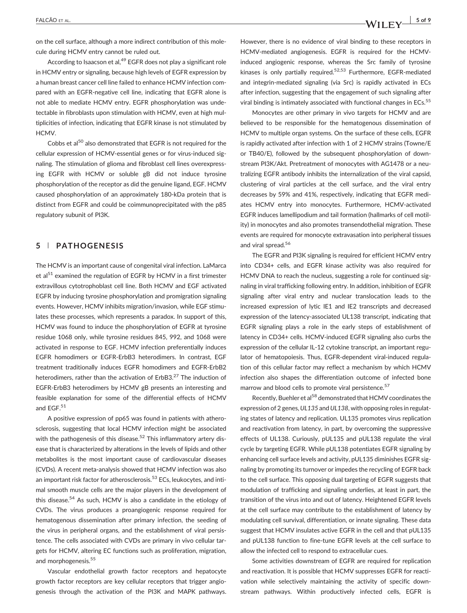on the cell surface, although a more indirect contribution of this molecule during HCMV entry cannot be ruled out.

According to Isaacson et al,<sup>49</sup> EGFR does not play a significant role in HCMV entry or signaling, because high levels of EGFR expression by a human breast cancer cell line failed to enhance HCMV infection compared with an EGFR‐negative cell line, indicating that EGFR alone is not able to mediate HCMV entry. EGFR phosphorylation was undetectable in fibroblasts upon stimulation with HCMV, even at high multiplicities of infection, indicating that EGFR kinase is not stimulated by HCMV.

Cobbs et al<sup>50</sup> also demonstrated that EGFR is not required for the cellular expression of HCMV‐essential genes or for virus‐induced signaling. The stimulation of glioma and fibroblast cell lines overexpressing EGFR with HCMV or soluble gB did not induce tyrosine phosphorylation of the receptor as did the genuine ligand, EGF. HCMV caused phosphorylation of an approximately 180‐kDa protein that is distinct from EGFR and could be coimmunoprecipitated with the p85 regulatory subunit of PI3K.

## 5 | PATHOGENESIS

The HCMV is an important cause of congenital viral infection. LaMarca et al $51$  examined the regulation of EGFR by HCMV in a first trimester extravillous cytotrophoblast cell line. Both HCMV and EGF activated EGFR by inducing tyrosine phosphorylation and promigration signaling events. However, HCMV inhibits migration/invasion, while EGF stimulates these processes, which represents a paradox. In support of this, HCMV was found to induce the phosphorylation of EGFR at tyrosine residue 1068 only, while tyrosine residues 845, 992, and 1068 were activated in response to EGF. HCMV infection preferentially induces EGFR homodimers or EGFR‐ErbB3 heterodimers. In contrast, EGF treatment traditionally induces EGFR homodimers and EGFR‐ErbB2 heterodimers, rather than the activation of ErbB3.<sup>27</sup> The induction of EGFR‐ErbB3 heterodimers by HCMV gB presents an interesting and feasible explanation for some of the differential effects of HCMV and EGF.<sup>51</sup>

A positive expression of pp65 was found in patients with atherosclerosis, suggesting that local HCMV infection might be associated with the pathogenesis of this disease.<sup>52</sup> This inflammatory artery disease that is characterized by alterations in the levels of lipids and other metabolites is the most important cause of cardiovascular diseases (CVDs). A recent meta‐analysis showed that HCMV infection was also an important risk factor for atherosclerosis.<sup>53</sup> ECs, leukocytes, and intimal smooth muscle cells are the major players in the development of this disease.<sup>54</sup> As such, HCMV is also a candidate in the etiology of CVDs. The virus produces a proangiogenic response required for hematogenous dissemination after primary infection, the seeding of the virus in peripheral organs, and the establishment of viral persistence. The cells associated with CVDs are primary in vivo cellular targets for HCMV, altering EC functions such as proliferation, migration, and morphogenesis.<sup>55</sup>

Vascular endothelial growth factor receptors and hepatocyte growth factor receptors are key cellular receptors that trigger angiogenesis through the activation of the PI3K and MAPK pathways.

However, there is no evidence of viral binding to these receptors in HCMV‐mediated angiogenesis. EGFR is required for the HCMV‐ induced angiogenic response, whereas the Src family of tyrosine kinases is only partially required. $52,53$  Furthermore, EGFR-mediated and integrin-mediated signaling (via Src) is rapidly activated in ECs after infection, suggesting that the engagement of such signaling after viral binding is intimately associated with functional changes in ECs.<sup>55</sup>

Monocytes are other primary in vivo targets for HCMV and are believed to be responsible for the hematogenous dissemination of HCMV to multiple organ systems. On the surface of these cells, EGFR is rapidly activated after infection with 1 of 2 HCMV strains (Towne/E or TB40/E), followed by the subsequent phosphorylation of downstream PI3K/Akt. Pretreatment of monocytes with AG1478 or a neutralizing EGFR antibody inhibits the internalization of the viral capsid, clustering of viral particles at the cell surface, and the viral entry decreases by 59% and 41%, respectively, indicating that EGFR mediates HCMV entry into monocytes. Furthermore, HCMV‐activated EGFR induces lamellipodium and tail formation (hallmarks of cell motility) in monocytes and also promotes transendothelial migration. These events are required for monocyte extravasation into peripheral tissues and viral spread.<sup>56</sup>

The EGFR and PI3K signaling is required for efficient HCMV entry into CD34+ cells, and EGFR kinase activity was also required for HCMV DNA to reach the nucleus, suggesting a role for continued signaling in viral trafficking following entry. In addition, inhibition of EGFR signaling after viral entry and nuclear translocation leads to the increased expression of lytic IE1 and IE2 transcripts and decreased expression of the latency-associated UL138 transcript, indicating that EGFR signaling plays a role in the early steps of establishment of latency in CD34+ cells. HCMV‐induced EGFR signaling also curbs the expression of the cellular IL‐12 cytokine transcript, an important regulator of hematopoiesis. Thus, EGFR-dependent viral-induced regulation of this cellular factor may reflect a mechanism by which HCMV infection also shapes the differentiation outcome of infected bone marrow and blood cells to promote viral persistence.<sup>57</sup>

Recently, Buehler et al<sup>58</sup> demonstrated that HCMV coordinates the expression of 2 genes, UL135 and UL138, with opposing roles in regulating states of latency and replication. UL135 promotes virus replication and reactivation from latency, in part, by overcoming the suppressive effects of UL138. Curiously, pUL135 and pUL138 regulate the viral cycle by targeting EGFR. While pUL138 potentiates EGFR signaling by enhancing cell surface levels and activity, pUL135 diminishes EGFR signaling by promoting its turnover or impedes the recycling of EGFR back to the cell surface. This opposing dual targeting of EGFR suggests that modulation of trafficking and signaling underlies, at least in part, the transition of the virus into and out of latency. Heightened EGFR levels at the cell surface may contribute to the establishment of latency by modulating cell survival, differentiation, or innate signaling. These data suggest that HCMV insulates active EGFR in the cell and that pUL135 and pUL138 function to fine-tune EGFR levels at the cell surface to allow the infected cell to respond to extracellular cues.

Some activities downstream of EGFR are required for replication and reactivation. It is possible that HCMV suppresses EGFR for reactivation while selectively maintaining the activity of specific downstream pathways. Within productively infected cells, EGFR is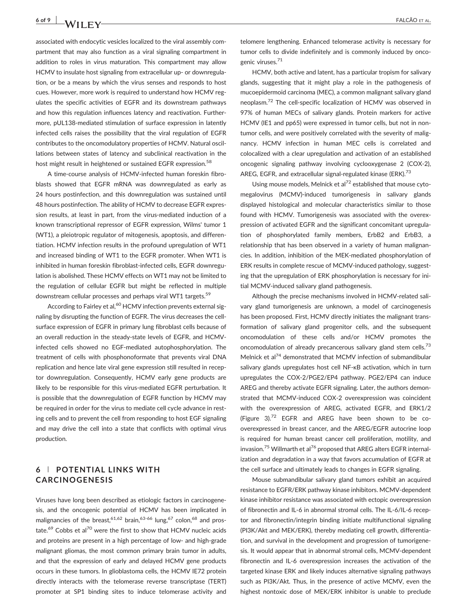6 of 9 | **IA/II ETV** FALCÃO ET AL.

associated with endocytic vesicles localized to the viral assembly compartment that may also function as a viral signaling compartment in addition to roles in virus maturation. This compartment may allow HCMV to insulate host signaling from extracellular up- or downregulation, or be a means by which the virus senses and responds to host cues. However, more work is required to understand how HCMV regulates the specific activities of EGFR and its downstream pathways and how this regulation influences latency and reactivation. Furthermore, pUL138‐mediated stimulation of surface expression in latently infected cells raises the possibility that the viral regulation of EGFR contributes to the oncomodulatory properties of HCMV. Natural oscillations between states of latency and subclinical reactivation in the host might result in heightened or sustained EGFR expression.<sup>58</sup>

A time‐course analysis of HCMV‐infected human foreskin fibroblasts showed that EGFR mRNA was downregulated as early as 24 hours postinfection, and this downregulation was sustained until 48 hours postinfection. The ability of HCMV to decrease EGFR expression results, at least in part, from the virus-mediated induction of a known transcriptional repressor of EGFR expression, Wilms' tumor 1 (WT1), a pleiotropic regulator of mitogenesis, apoptosis, and differentiation. HCMV infection results in the profound upregulation of WT1 and increased binding of WT1 to the EGFR promoter. When WT1 is inhibited in human foreskin fibroblast-infected cells, EGFR downregulation is abolished. These HCMV effects on WT1 may not be limited to the regulation of cellular EGFR but might be reflected in multiple downstream cellular processes and perhaps viral WT1 targets.<sup>59</sup>

According to Fairley et al,<sup>60</sup> HCMV infection prevents external signaling by disrupting the function of EGFR. The virus decreases the cell‐ surface expression of EGFR in primary lung fibroblast cells because of an overall reduction in the steady‐state levels of EGFR, and HCMV‐ infected cells showed no EGF‐mediated autophosphorylation. The treatment of cells with phosphonoformate that prevents viral DNA replication and hence late viral gene expression still resulted in receptor downregulation. Consequently, HCMV early gene products are likely to be responsible for this virus-mediated EGFR perturbation. It is possible that the downregulation of EGFR function by HCMV may be required in order for the virus to mediate cell cycle advance in resting cells and to prevent the cell from responding to host EGF signaling and may drive the cell into a state that conflicts with optimal virus production.

## 6 | POTENTIAL LINKS WITH CARCINOGENESIS

Viruses have long been described as etiologic factors in carcinogenesis, and the oncogenic potential of HCMV has been implicated in malignancies of the breast,  $61,62$  brain,  $63-66$  lung,  $67$  colon,  $68$  and prostate.<sup>69</sup> Cobbs et al<sup>70</sup> were the first to show that HCMV nucleic acids and proteins are present in a high percentage of low‐ and high‐grade malignant gliomas, the most common primary brain tumor in adults, and that the expression of early and delayed HCMV gene products occurs in these tumors. In glioblastoma cells, the HCMV IE72 protein directly interacts with the telomerase reverse transcriptase (TERT) promoter at SP1 binding sites to induce telomerase activity and telomere lengthening. Enhanced telomerase activity is necessary for tumor cells to divide indefinitely and is commonly induced by oncogenic viruses.71

HCMV, both active and latent, has a particular tropism for salivary glands, suggesting that it might play a role in the pathogenesis of mucoepidermoid carcinoma (MEC), a common malignant salivary gland neoplasm.<sup>72</sup> The cell-specific localization of HCMV was observed in 97% of human MECs of salivary glands. Protein markers for active HCMV (IE1 and pp65) were expressed in tumor cells, but not in non‐ tumor cells, and were positively correlated with the severity of malignancy. HCMV infection in human MEC cells is correlated and colocalized with a clear upregulation and activation of an established oncogenic signaling pathway involving cyclooxygenase 2 (COX‐2), AREG, EGFR, and extracellular signal-regulated kinase (ERK).<sup>73</sup>

Using mouse models, Melnick et al<sup>72</sup> established that mouse cytomegalovirus (MCMV)‐induced tumorigenesis in salivary glands displayed histological and molecular characteristics similar to those found with HCMV. Tumorigenesis was associated with the overexpression of activated EGFR and the significant concomitant upregulation of phosphorylated family members, ErbB2 and ErbB3, a relationship that has been observed in a variety of human malignancies. In addition, inhibition of the MEK‐mediated phosphorylation of ERK results in complete rescue of MCMV‐induced pathology, suggesting that the upregulation of ERK phosphorylation is necessary for initial MCMV‐induced salivary gland pathogenesis.

Although the precise mechanisms involved in HCMV‐related salivary gland tumorigenesis are unknown, a model of carcinogenesis has been proposed. First, HCMV directly initiates the malignant transformation of salivary gland progenitor cells, and the subsequent oncomodulation of these cells and/or HCMV promotes the oncomodulation of already precancerous salivary gland stem cells.<sup>73</sup> Melnick et al<sup>74</sup> demonstrated that MCMV infection of submandibular salivary glands upregulates host cell NF‐κB activation, which in turn upregulates the COX‐2/PGE2/EP4 pathway. PGE2/EP4 can induce AREG and thereby activate EGFR signaling. Later, the authors demonstrated that MCMV‐induced COX‐2 overexpression was coincident with the overexpression of AREG, activated EGFR, and ERK1/2 (Figure 3). $72$  EGFR and AREG have been shown to be cooverexpressed in breast cancer, and the AREG/EGFR autocrine loop is required for human breast cancer cell proliferation, motility, and invasion.<sup>75</sup> Willmarth et al<sup>76</sup> proposed that AREG alters EGFR internalization and degradation in a way that favors accumulation of EGFR at the cell surface and ultimately leads to changes in EGFR signaling.

Mouse submandibular salivary gland tumors exhibit an acquired resistance to EGFR/ERK pathway kinase inhibitors. MCMV‐dependent kinase inhibitor resistance was associated with ectopic overexpression of fibronectin and IL‐6 in abnormal stromal cells. The IL‐6/IL‐6 receptor and fibronectin/integrin binding initiate multifunctional signaling (PI3K/Akt and MEK/ERK), thereby mediating cell growth, differentiation, and survival in the development and progression of tumorigenesis. It would appear that in abnormal stromal cells, MCMV‐dependent fibronectin and IL‐6 overexpression increases the activation of the targeted kinase ERK and likely induces alternative signaling pathways such as PI3K/Akt. Thus, in the presence of active MCMV, even the highest nontoxic dose of MEK/ERK inhibitor is unable to preclude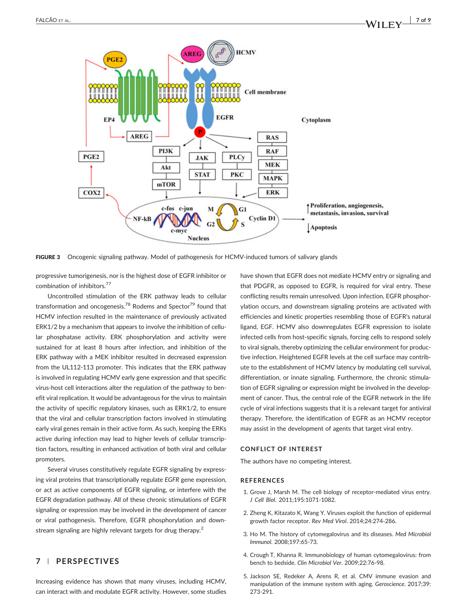![](_page_6_Figure_2.jpeg)

FIGURE 3 Oncogenic signaling pathway. Model of pathogenesis for HCMV-induced tumors of salivary glands

progressive tumorigenesis, nor is the highest dose of EGFR inhibitor or combination of inhibitors.77

Uncontrolled stimulation of the ERK pathway leads to cellular transformation and oncogenesis.<sup>78</sup> Rodems and Spector<sup>79</sup> found that HCMV infection resulted in the maintenance of previously activated ERK1/2 by a mechanism that appears to involve the inhibition of cellular phosphatase activity. ERK phosphorylation and activity were sustained for at least 8 hours after infection, and inhibition of the ERK pathway with a MEK inhibitor resulted in decreased expression from the UL112-113 promoter. This indicates that the ERK pathway is involved in regulating HCMV early gene expression and that specific virus‐host cell interactions alter the regulation of the pathway to benefit viral replication. It would be advantageous for the virus to maintain the activity of specific regulatory kinases, such as ERK1/2, to ensure that the viral and cellular transcription factors involved in stimulating early viral genes remain in their active form. As such, keeping the ERKs active during infection may lead to higher levels of cellular transcription factors, resulting in enhanced activation of both viral and cellular promoters.

Several viruses constitutively regulate EGFR signaling by expressing viral proteins that transcriptionally regulate EGFR gene expression, or act as active components of EGFR signaling, or interfere with the EGFR degradation pathway. All of these chronic stimulations of EGFR signaling or expression may be involved in the development of cancer or viral pathogenesis. Therefore, EGFR phosphorylation and downstream signaling are highly relevant targets for drug therapy.<sup>2</sup>

#### 7 | PERSPECTIVES

Increasing evidence has shown that many viruses, including HCMV, can interact with and modulate EGFR activity. However, some studies

have shown that EGFR does not mediate HCMV entry or signaling and that PDGFR, as opposed to EGFR, is required for viral entry. These conflicting results remain unresolved. Upon infection, EGFR phosphorylation occurs, and downstream signaling proteins are activated with efficiencies and kinetic properties resembling those of EGFR's natural ligand, EGF. HCMV also downregulates EGFR expression to isolate infected cells from host-specific signals, forcing cells to respond solely to viral signals, thereby optimizing the cellular environment for productive infection. Heightened EGFR levels at the cell surface may contribute to the establishment of HCMV latency by modulating cell survival, differentiation, or innate signaling. Furthermore, the chronic stimulation of EGFR signaling or expression might be involved in the development of cancer. Thus, the central role of the EGFR network in the life cycle of viral infections suggests that it is a relevant target for antiviral therapy. Therefore, the identification of EGFR as an HCMV receptor may assist in the development of agents that target viral entry.

#### CONFLICT OF INTEREST

The authors have no competing interest.

#### REFERENCES

- 1. Grove J, Marsh M. The cell biology of receptor-mediated virus entry. J Cell Biol. 2011;195:1071‐1082.
- 2. Zheng K, Kitazato K, Wang Y. Viruses exploit the function of epidermal growth factor receptor. Rev Med Virol. 2014;24:274‐286.
- 3. Ho M. The history of cytomegalovirus and its diseases. Med Microbiol Immunol. 2008;197:65‐73.
- 4. Crough T, Khanna R. Immunobiology of human cytomegalovirus: from bench to bedside. Clin Microbiol Ver. 2009;22:76‐98.
- 5. Jackson SE, Redeker A, Arens R, et al. CMV immune evasion and manipulation of the immune system with aging. Geroscience. 2017;39: 273‐291.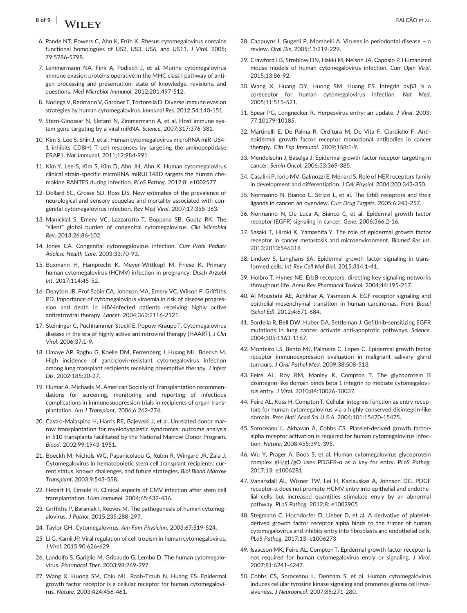# 8 of 9 **TALCAO** ET AL. THE STATE STATES AND RESERVE TO A LABOR TO A LABOR TO A LABOR TO ALL STATES AND RESERVE TO A LABOR TO ALL STATES AND RESERVE TO A LABOR TO ALL STATES AND RESERVE TO A LABOR TO ALL STATES AND RESERVE

- 6. Pande NT, Powers C, Ahn K, Früh K. Rhesus cytomegalovirus contains functional homologues of US2, US3, US6, and US11. J Virol. 2005; 79:5786‐5798.
- 7. Lemmermann NA, Fink A, Podlech J, et al. Murine cytomegalovirus immune evasion proteins operative in the MHC class I pathway of antigen processing and presentation: state of knowledge, revisions, and questions. Med Microbiol Immunol. 2012;201:497‐512.
- 8. Noriega V, Redmann V, Gardner T, Tortorella D. Diverse immune evasion strategies by human cytomegalovirus. Immunol Res. 2012;54:140‐151.
- 9. Stern‐Ginossar N, Elefant N, Zimmermann A, et al. Host immune system gene targeting by a viral miRNA. Science. 2007;317:376‐381.
- 10. Kim S, Lee S, Shin J, et al. Human cytomegalovirus microRNA miR‐US4‐ 1 inhibits CD8(+) T cell responses by targeting the aminopeptidase ERAP1. Nat Immunol. 2011;12:984‐991.
- 11. Kim Y, Lee S, Kim S, Kim D, Ahn JH, Ahn K. Human cytomegalovirus clinical strain‐specific microRNA miRUL148D targets the human chemokine RANTES during infection. PLoS Pathog. 2012;8: e1002577
- 12. Dollard SC, Grosse SD, Ross DS. New estimates of the prevalence of neurological and sensory sequelae and mortality associated with congenital cytomegalovirus infection. Rev Med Virol. 2007;17:355‐363.
- 13. Manicklal S, Emery VC, Lazzarotto T, Boppana SB, Gupta RK. The "silent" global burden of congenital cytomegalovirus. Clin Microbiol Rev. 2013;26:86‐102.
- 14. Jones CA. Congenital cytomegalovirus infection. Curr Probl Pediatr Adolesc Health Care. 2003;33:70‐93.
- 15. Buxmann H, Hamprecht K, Meyer‐Wittkopf M, Friese K. Primary human cytomegalovirus (HCMV) infection in pregnancy. Dtsch Arztebl Int. 2017;114:45‐52.
- 16. Deayton JR, Prof Sabin CA, Johnson MA, Emery VC, Wilson P, Griffiths PD. Importance of cytomegalovirus viraemia in risk of disease progression and death in HIV-infected patients receiving highly active antiretroviral therapy. Lancet. 2004;363:2116‐2121.
- 17. Steininger C, Puchhammer‐Stockl E, Popow‐KrauppT. Cytomegalovirus disease in the era of highly active antiretroviral therapy (HAART). J Clin Virol. 2006;37:1‐9.
- 18. Limaye AP, Raghu G, Koelle DM, Ferrenberg J, Huang ML, Boeckh M. High incidence of ganciclovir-resistant cytomegalovirus infection among lung transplant recipients receiving preemptive therapy. J Infect Dis. 2002;185:20‐27.
- 19. Humar A, Michaels M. American Society of Transplantation recommendations for screening, monitoring and reporting of infectious complications in immunosuppression trials in recipients of organ transplantation. Am J Transplant. 2006;6:262‐274.
- 20. Castro‐Malaspina H, Harris RE, Gajewski J, et al. Unrelated donor marrow transplantation for myelodysplastic syndromes: outcome analysis in 510 transplants facilitated by the National Marrow Donor Program. Blood. 2002;99:1943‐1951.
- 21. Boeckh M, Nichols WG, Papanicolaou G, Rubin R, Wingard JR, Zaia J. Cytomegalovirus in hematopoietic stem cell transplant recipients: current status, known challenges, and future strategies. Biol Blood Marrow Transplant. 2003;9:543‐558.
- 22. Hebart H, Einsele H. Clinical aspects of CMV infection after stem cell transplantation. Hum Immunol. 2004;65:432‐436.
- 23. Griffiths P, Baraniak I, Reeves M. The pathogenesis of human cytomegalovirus. J Pathol. 2015;235:288‐297.
- 24. Taylor GH. Cytomegalovirus. Am Fam Physician. 2003;67:519‐524.
- 25. Li G, Kamil JP. Viral regulation of cell tropism in human cytomegalovirus. J Virol. 2015;90:626‐629.
- 26. Landolfo S, Gariglio M, Gribaudo G, Lembo D. The human cytomegalovirus. Pharmacol Ther. 2003;98:269‐297.
- 27. Wang X, Huong SM, Chiu ML, Raab‐Traub N, Huang ES. Epidermal growth factor receptor is a cellular receptor for human cytomegalovirus. Nature. 2003;424:456‐461.
- 28. Cappuyns I, Gugerli P, Mombelli A. Viruses in periodontal disease a review. Oral Dis. 2005;11:219‐229.
- 29. Crawford LB, Streblow DN, Hakki M, Nelson JA, Caposio P. Humanized mouse models of human cytomegalovirus infection. Curr Opin Virol. 2015;13:86‐92.
- 30. Wang X, Huang DY, Huong SM, Huang ES. Integrin αvβ3 is a coreceptor for human cytomegalovirus infection. Nat Med. 2005;11:515‐521.
- 31. Spear PG, Longnecker R. Herpesvirus entry: an update. J Virol. 2003; 77:10179‐10185.
- 32. Martinelli E, De Palma R, Orditura M, De Vita F, Ciardiello F. Anti‐ epidermal growth factor receptor monoclonal antibodies in cancer therapy. Clin Exp Immunol. 2009;158:1‐9.
- 33. Mendelsohn J, Baselga J. Epidermal growth factor receptor targeting in cancer. Semin Oncol. 2006;33:369‐385.
- 34. Casalini P, Iorio MV, Galmozzi E, Ménard S. Role of HER receptors family in development and differentiation. J Cell Physiol. 2004;200:343‐350.
- 35. Normanno N, Bianco C, Strizzi L, et al. The ErbB receptors and their ligands in cancer: an overview. Curr Drug Targets. 2005;6:243‐257.
- 36. Normanno N, De Luca A, Bianco C, et al. Epidermal growth factor receptor (EGFR) signaling in cancer. Gene. 2006;366:2‐16.
- 37. Sasaki T, Hiroki K, Yamashita Y. The role of epidermal growth factor receptor in cancer metastasis and microenvironment. Biomed Res Int. 2013;2013:546318
- 38. Lindsey S, Langhans SA. Epidermal growth factor signaling in transformed cells. Int Rev Cell Mol Biol. 2015;314:1‐41.
- 39. Holbro T, Hynes NE. ErbB receptors: directing key signaling networks throughout life. Annu Rev Pharmacol Toxicol. 2004;44:195‐217.
- 40. Al Moustafa AE, Achkhar A, Yasmeen A. EGF‐receptor signaling and epithelial‐mesenchymal transition in human carcinomas. Front Biosci (Schol Ed). 2012;4:671‐684.
- 41. Sordella R, Bell DW, Haber DA, Settleman J. Gefitinib‐sensitizing EGFR mutations in lung cancer activate anti‐apoptotic pathways. Science. 2004;305:1163‐1167.
- 42. Monteiro LS, Bento MJ, Palmeira C, Lopes C. Epidermal growth factor receptor immunoexpression evaluation in malignant salivary gland tumours. J Oral Pathol Med. 2009;38:508‐513.
- 43. Feire AL, Roy RM, Manley K, Compton T. The glycoprotein B disintegrin‐like domain binds beta 1 integrin to mediate cytomegalovirus entry. J Virol. 2010;84:10026‐10037.
- 44. Feire AL, Koss H, Compton T. Cellular integrins function as entry receptors for human cytomegalovirus via a highly conserved disintegrin‐like domain. Proc Natl Acad Sci U S A. 2004;101:15470‐15475.
- 45. Soroceanu L, Akhavan A, Cobbs CS. Platelet-derived growth factoralpha receptor activation is required for human cytomegalovirus infection. Nature. 2008;455:391‐395.
- 46. Wu Y, Prager A, Boos S, et al. Human cytomegalovirus glycoprotein complex gH/gL/gO uses PDGFR‐α as a key for entry. PLoS Pathog. 2017;13: e1006281
- 47. Vanarsdall AL, Wisner TW, Lei H, Kazlauskas A, Johnson DC. PDGF receptor‐α does not promote HCMV entry into epithelial and endothelial cells but increased quantities stimulate entry by an abnormal pathway. PLoS Pathog. 2012;8: e1002905
- 48. Stegmann C, Hochdorfer D, Lieber D, et al. A derivative of plateletderived growth factor receptor alpha binds to the trimer of human cytomegalovirus and inhibits entry into fibroblasts and endothelial cells. PLoS Pathog. 2017;13: e1006273
- 49. Isaacson MK, Feire AL, Compton T. Epidermal growth factor receptor is not required for human cytomegalovirus entry or signaling. J Virol. 2007;81:6241‐6247.
- 50. Cobbs CS, Soroceanu L, Denham S, et al. Human cytomegalovirus induces cellular tyrosine kinase signaling and promotes glioma cell invasiveness. J Neurooncol. 2007;85:271‐280.